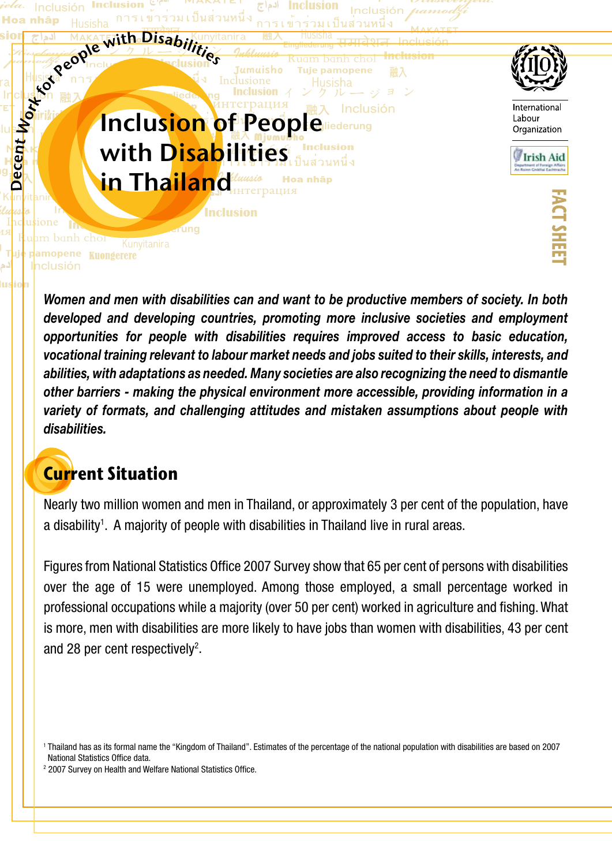

*Women and men with disabilities can and want to be productive members of society. In both developed and developing countries, promoting more inclusive societies and employment opportunities for people with disabilities requires improved access to basic education, vocational training relevant to labour market needs and jobs suited to their skills, interests, and abilities, with adaptations as needed. Many societies are also recognizing the need to dismantle other barriers - making the physical environment more accessible, providing information in a variety of formats, and challenging attitudes and mistaken assumptions about people with disabilities.* 

### **Current Situation**

Nearly two million women and men in Thailand, or approximately 3 per cent of the population, have a disability<sup>1</sup>. A majority of people with disabilities in Thailand live in rural areas.

Figures from National Statistics Office 2007 Survey show that 65 per cent of persons with disabilities over the age of 15 were unemployed. Among those employed, a small percentage worked in professional occupations while a majority (over 50 per cent) worked in agriculture and fishing. What is more, men with disabilities are more likely to have jobs than women with disabilities, 43 per cent and 28 per cent respectively<sup>2</sup>.

<sup>2</sup> 2007 Survey on Health and Welfare National Statistics Office.

<sup>1</sup> Thailand has as its formal name the "Kingdom of Thailand". Estimates of the percentage of the national population with disabilities are based on 2007 National Statistics Office data.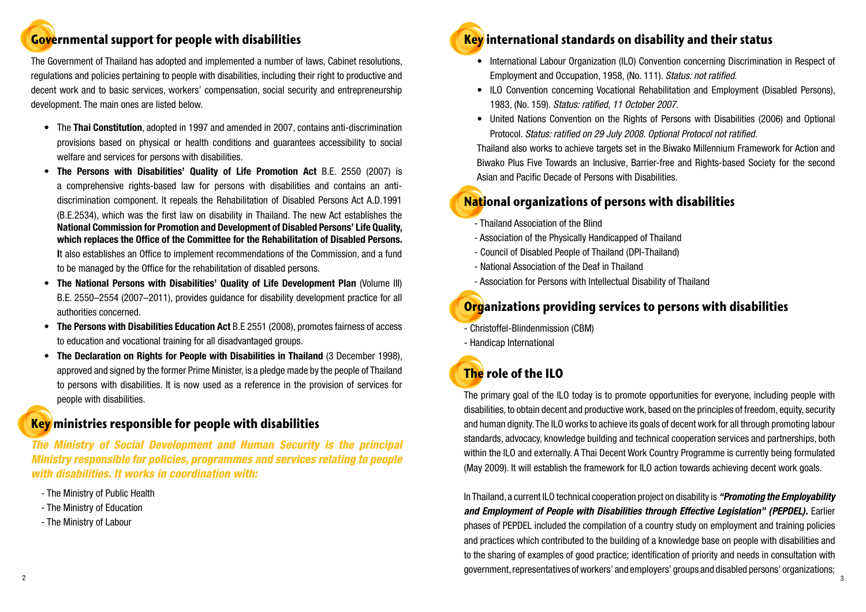## **Governmental support for people with disabilities**

The Government of Thailand has adopted and implemented a number of laws, Cabinet resolutions, regulations and policies pertaining to people with disabilities, including their right to productive and decent work and to basic services, workers' compensation, social security and entrepreneurship development. The main ones are listed below.

- • The **Thai Constitution**, adopted in 1997 and amended in 2007, contains anti-discrimination provisions based on physical or health conditions and guarantees accessibility to social welfare and services for persons with disabilities.
- **The Persons with Disabilities' Quality of Life Promotion Act B.E. 2550 (2007) is** a comprehensive rights-based law for persons with disabilities and contains an antidiscrimination component. It repeals the Rehabilitation of Disabled Persons Act A.D.1991 (B.E.2534), which was the first law on disability in Thailand. The new Act establishes the **National Commission for Promotion and Development of Disabled Persons' Life Quality, which replaces the Office of the Committee for the Rehabilitation of Disabled Persons. I**t also establishes an Office to implement recommendations of the Commission, and a fund to be managed by the Office for the rehabilitation of disabled persons.
- • **The National Persons with Disabilities' Quality of Life Development Plan** (Volume III) B.E. 2550–2554 (2007–2011), provides guidance for disability development practice for all authorities concerned.
- **The Persons with Disabilities Education Act** B.E 2551 (2008), promotes fairness of access to education and vocational training for all disadvantaged groups.
- • **The Declaration on Rights for People with Disabilities in Thailand** (3 December 1998), approved and signed by the former Prime Minister, is a pledge made by the people of Thailand to persons with disabilities. It is now used as a reference in the provision of services for people with disabilities.

#### **Key ministries responsible for people with disabilities**

*The Ministry of Social Development and Human Security is the principal Ministry responsible for policies, programmes and services relating to people with disabilities. It works in coordination with:*

- The Ministry of Public Health
- The Ministry of Education
- The Ministry of Labour



- Employment and Occupation, 1958, (No. 111). *Status: not ratified.*
- 1983, (No. 159). *Status: ratified, 11 October 2007.*
- Protocol. *Status: ratified on 29 July 2008. Optional Protocol not ratified.*

Thailand also works to achieve targets set in the Biwako Millennium Framework for Action and Biwako Plus Five Towards an Inclusive, Barrier-free and Rights-based Society for the second Asian and Pacific Decade of Persons with Disabilities.

## **National organizations of persons with disabilities**

- Thailand Association of the Blind
- Association of the Physically Handicapped of Thailand
- Council of Disabled People of Thailand (DPI-Thailand)
- National Association of the Deaf in Thailand
- Association for Persons with Intellectual Disability of Thailand

## **Organizations providing services to persons with disabilities**

- Christoffel-Blindenmission (CBM)
- Handicap International

# **The role of the ILO**

The primary goal of the ILO today is to promote opportunities for everyone, including people with disabilities, to obtain decent and productive work, based on the principles of freedom, equity, security and human dignity. The ILO works to achieve its goals of decent work for all through promoting labour standards, advocacy, knowledge building and technical cooperation services and partnerships, both within the ILO and externally. A Thai Decent Work Country Programme is currently being formulated (May 2009). It will establish the framework for ILO action towards achieving decent work goals.

2  $\sim$  3 In Thailand, a current ILO technical cooperation project on disability is *"Promoting the Employability and Employment of People with Disabilities through Effective Legislation" (PEPDEL).* **Earlier** phases of PEPDEL included the compilation of a country study on employment and training policies and practices which contributed to the building of a knowledge base on people with disabilities and to the sharing of examples of good practice; identification of priority and needs in consultation with government, representatives of workers' and employers' groups and disabled persons' organizations;

• International Labour Organization (ILO) Convention concerning Discrimination in Respect of

• ILO Convention concerning Vocational Rehabilitation and Employment (Disabled Persons),

• United Nations Convention on the Rights of Persons with Disabilities (2006) and Optional